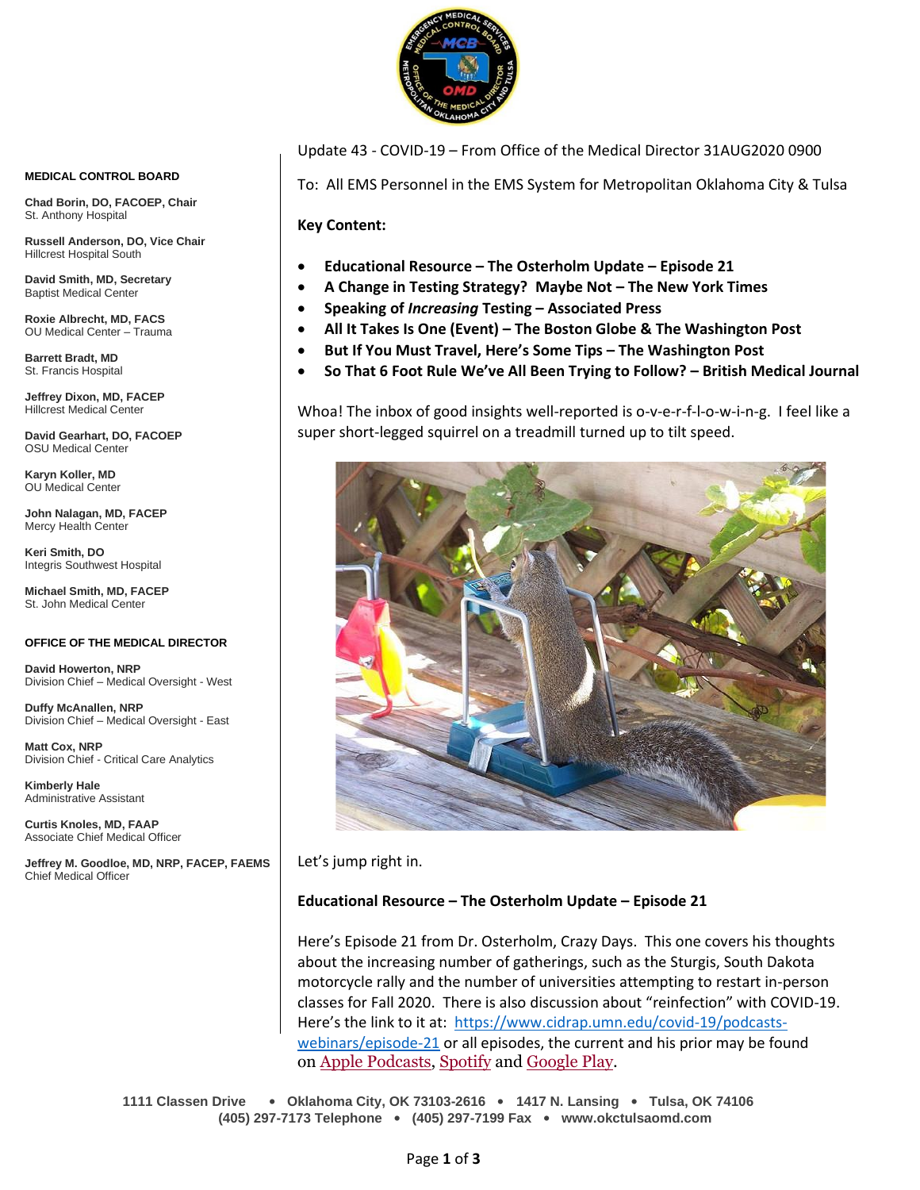

Update 43 - COVID-19 – From Office of the Medical Director 31AUG2020 0900

To: All EMS Personnel in the EMS System for Metropolitan Oklahoma City & Tulsa

**Key Content:**

- **Educational Resource – The Osterholm Update – Episode 21**
- **A Change in Testing Strategy? Maybe Not – The New York Times**
- **Speaking of** *Increasing* **Testing – Associated Press**
- **All It Takes Is One (Event) – The Boston Globe & The Washington Post**
- **But If You Must Travel, Here's Some Tips – The Washington Post**
- **So That 6 Foot Rule We've All Been Trying to Follow? – British Medical Journal**

Whoa! The inbox of good insights well-reported is o-v-e-r-f-l-o-w-i-n-g. I feel like a super short-legged squirrel on a treadmill turned up to tilt speed.



Let's jump right in.

#### **Educational Resource – The Osterholm Update – Episode 21**

Here's Episode 21 from Dr. Osterholm, Crazy Days. This one covers his thoughts about the increasing number of gatherings, such as the Sturgis, South Dakota motorcycle rally and the number of universities attempting to restart in-person classes for Fall 2020. There is also discussion about "reinfection" with COVID-19. Here's the link to it at: [https://www.cidrap.umn.edu/covid-19/podcasts](https://www.cidrap.umn.edu/covid-19/podcasts-webinars/episode-21)[webinars/episode-21](https://www.cidrap.umn.edu/covid-19/podcasts-webinars/episode-21) or all episodes, the current and his prior may be found on Apple [Podcasts,](https://podcasts.apple.com/us/podcast/the-osterholm-update-covid-19/id1504360345) [Spotify](https://open.spotify.com/show/0ymlroFYVlSAnoq0uqECGx) and [Google Play.](https://play.google.com/music/listen#/ps/I3fioaqqcke5hdct6rzyryvyysa)

**1111 Classen Drive** • **Oklahoma City, OK 73103-2616** • **1417 N. Lansing** • **Tulsa, OK 74106 (405) 297-7173 Telephone** • **(405) 297-7199 Fax** • **www.okctulsaomd.com**

#### **MEDICAL CONTROL BOARD**

**Chad Borin, DO, FACOEP, Chair**  St. Anthony Hospital

**Russell Anderson, DO, Vice Chair** Hillcrest Hospital South

**David Smith, MD, Secretary** Baptist Medical Center

**Roxie Albrecht, MD, FACS** OU Medical Center – Trauma

**Barrett Bradt, MD** St. Francis Hospital

**Jeffrey Dixon, MD, FACEP** Hillcrest Medical Center

**David Gearhart, DO, FACOEP** OSU Medical Center

**Karyn Koller, MD** OU Medical Center

**John Nalagan, MD, FACEP** Mercy Health Center

**Keri Smith, DO** Integris Southwest Hospital

**Michael Smith, MD, FACEP** St. John Medical Center

#### **OFFICE OF THE MEDICAL DIRECTOR**

**David Howerton, NRP** Division Chief – Medical Oversight - West

**Duffy McAnallen, NRP** Division Chief – Medical Oversight - East

**Matt Cox, NRP** Division Chief - Critical Care Analytics

**Kimberly Hale** Administrative Assistant

**Curtis Knoles, MD, FAAP** Associate Chief Medical Officer

**Jeffrey M. Goodloe, MD, NRP, FACEP, FAEMS** Chief Medical Officer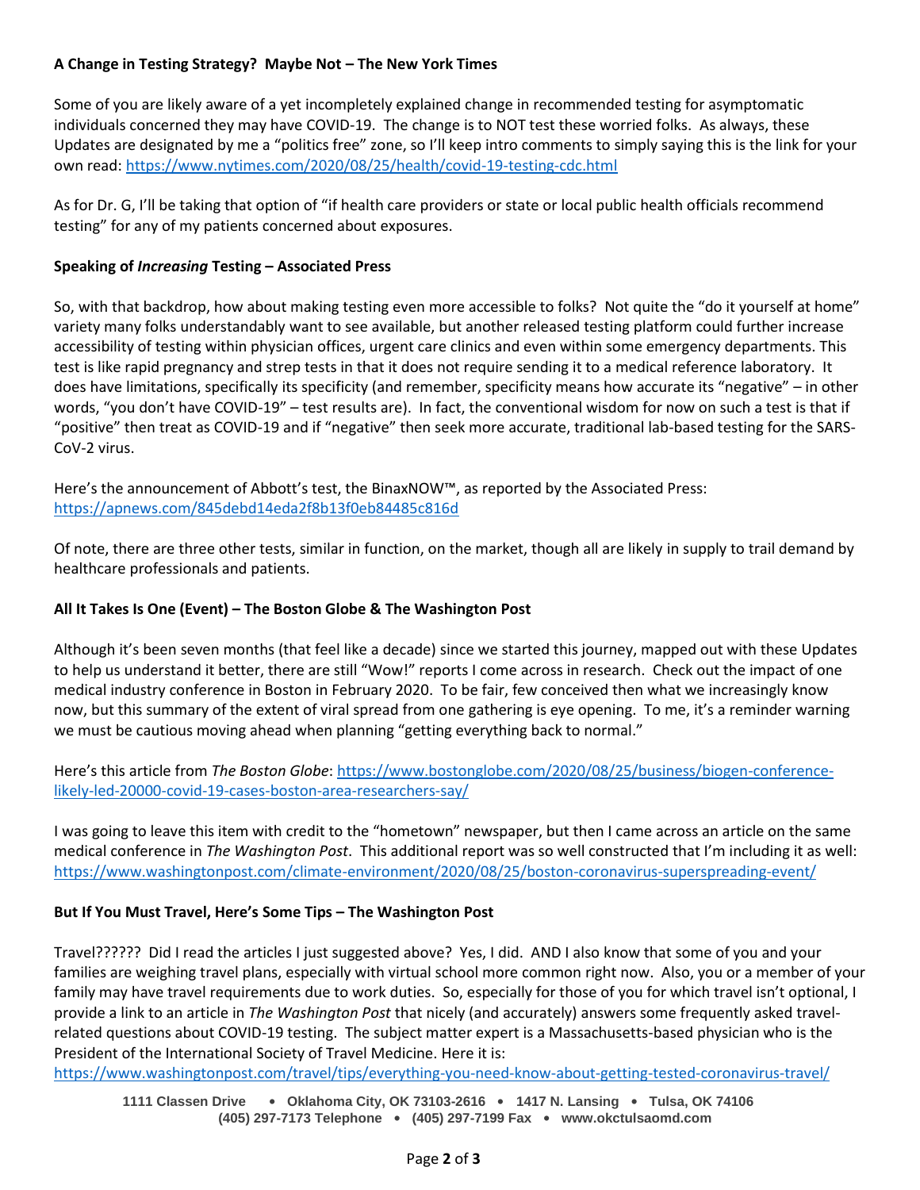# **A Change in Testing Strategy? Maybe Not – The New York Times**

Some of you are likely aware of a yet incompletely explained change in recommended testing for asymptomatic individuals concerned they may have COVID-19. The change is to NOT test these worried folks. As always, these Updates are designated by me a "politics free" zone, so I'll keep intro comments to simply saying this is the link for your own read[: https://www.nytimes.com/2020/08/25/health/covid-19-testing-cdc.html](https://www.nytimes.com/2020/08/25/health/covid-19-testing-cdc.html)

As for Dr. G, I'll be taking that option of "if health care providers or state or local public health officials recommend testing" for any of my patients concerned about exposures.

## **Speaking of** *Increasing* **Testing – Associated Press**

So, with that backdrop, how about making testing even more accessible to folks? Not quite the "do it yourself at home" variety many folks understandably want to see available, but another released testing platform could further increase accessibility of testing within physician offices, urgent care clinics and even within some emergency departments. This test is like rapid pregnancy and strep tests in that it does not require sending it to a medical reference laboratory. It does have limitations, specifically its specificity (and remember, specificity means how accurate its "negative" – in other words, "you don't have COVID-19" – test results are). In fact, the conventional wisdom for now on such a test is that if "positive" then treat as COVID-19 and if "negative" then seek more accurate, traditional lab-based testing for the SARS-CoV-2 virus.

Here's the announcement of Abbott's test, the BinaxNOW™, as reported by the Associated Press: <https://apnews.com/845debd14eda2f8b13f0eb84485c816d>

Of note, there are three other tests, similar in function, on the market, though all are likely in supply to trail demand by healthcare professionals and patients.

# **All It Takes Is One (Event) – The Boston Globe & The Washington Post**

Although it's been seven months (that feel like a decade) since we started this journey, mapped out with these Updates to help us understand it better, there are still "Wow!" reports I come across in research. Check out the impact of one medical industry conference in Boston in February 2020. To be fair, few conceived then what we increasingly know now, but this summary of the extent of viral spread from one gathering is eye opening. To me, it's a reminder warning we must be cautious moving ahead when planning "getting everything back to normal."

Here's this article from *The Boston Globe*: [https://www.bostonglobe.com/2020/08/25/business/biogen-conference](https://www.bostonglobe.com/2020/08/25/business/biogen-conference-likely-led-20000-covid-19-cases-boston-area-researchers-say/)[likely-led-20000-covid-19-cases-boston-area-researchers-say/](https://www.bostonglobe.com/2020/08/25/business/biogen-conference-likely-led-20000-covid-19-cases-boston-area-researchers-say/)

I was going to leave this item with credit to the "hometown" newspaper, but then I came across an article on the same medical conference in *The Washington Post*. This additional report was so well constructed that I'm including it as well: <https://www.washingtonpost.com/climate-environment/2020/08/25/boston-coronavirus-superspreading-event/>

### **But If You Must Travel, Here's Some Tips – The Washington Post**

Travel?????? Did I read the articles I just suggested above? Yes, I did. AND I also know that some of you and your families are weighing travel plans, especially with virtual school more common right now. Also, you or a member of your family may have travel requirements due to work duties. So, especially for those of you for which travel isn't optional, I provide a link to an article in *The Washington Post* that nicely (and accurately) answers some frequently asked travelrelated questions about COVID-19 testing. The subject matter expert is a Massachusetts-based physician who is the President of the International Society of Travel Medicine. Here it is:

<https://www.washingtonpost.com/travel/tips/everything-you-need-know-about-getting-tested-coronavirus-travel/>